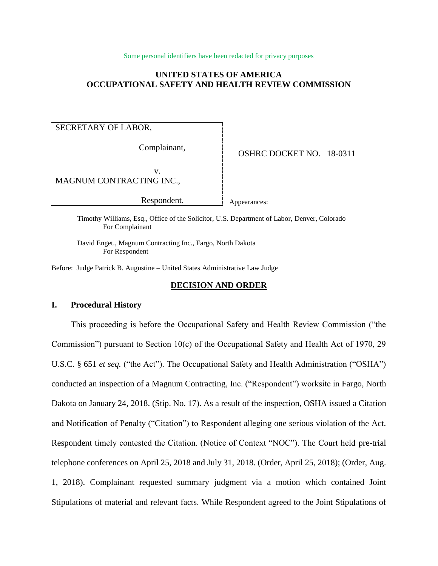Some personal identifiers have been redacted for privacy purposes

## **UNITED STATES OF AMERICA OCCUPATIONAL SAFETY AND HEALTH REVIEW COMMISSION**

## SECRETARY OF LABOR,

Complainant,

OSHRC DOCKET NO. 18-0311

v. MAGNUM CONTRACTING INC.,

Respondent.

Appearances:

Timothy Williams, Esq., Office of the Solicitor, U.S. Department of Labor, Denver, Colorado For Complainant

David Enget., Magnum Contracting Inc., Fargo, North Dakota For Respondent

Before: Judge Patrick B. Augustine – United States Administrative Law Judge

## **DECISION AND ORDER**

## **I. Procedural History**

This proceeding is before the Occupational Safety and Health Review Commission ("the Commission") pursuant to Section 10(c) of the Occupational Safety and Health Act of 1970, 29 U.S.C. § 651 *et seq.* ("the Act"). The Occupational Safety and Health Administration ("OSHA") conducted an inspection of a Magnum Contracting, Inc. ("Respondent") worksite in Fargo, North Dakota on January 24, 2018. (Stip. No. 17). As a result of the inspection, OSHA issued a Citation and Notification of Penalty ("Citation") to Respondent alleging one serious violation of the Act. Respondent timely contested the Citation. (Notice of Context "NOC"). The Court held pre-trial telephone conferences on April 25, 2018 and July 31, 2018. (Order, April 25, 2018); (Order, Aug. 1, 2018). Complainant requested summary judgment via a motion which contained Joint Stipulations of material and relevant facts. While Respondent agreed to the Joint Stipulations of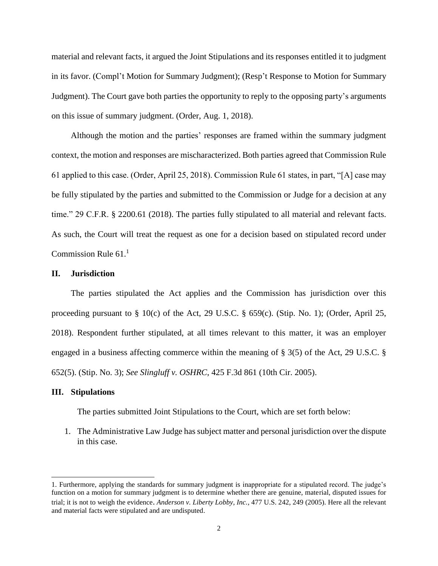material and relevant facts, it argued the Joint Stipulations and its responses entitled it to judgment in its favor. (Compl't Motion for Summary Judgment); (Resp't Response to Motion for Summary Judgment). The Court gave both parties the opportunity to reply to the opposing party's arguments on this issue of summary judgment. (Order, Aug. 1, 2018).

Although the motion and the parties' responses are framed within the summary judgment context, the motion and responses are mischaracterized. Both parties agreed that Commission Rule 61 applied to this case. (Order, April 25, 2018). Commission Rule 61 states, in part, "[A] case may be fully stipulated by the parties and submitted to the Commission or Judge for a decision at any time." 29 C.F.R. § 2200.61 (2018). The parties fully stipulated to all material and relevant facts. As such, the Court will treat the request as one for a decision based on stipulated record under Commission Rule  $61<sup>1</sup>$ 

## **II. Jurisdiction**

The parties stipulated the Act applies and the Commission has jurisdiction over this proceeding pursuant to § 10(c) of the Act, 29 U.S.C. § 659(c). (Stip. No. 1); (Order, April 25, 2018). Respondent further stipulated, at all times relevant to this matter, it was an employer engaged in a business affecting commerce within the meaning of § 3(5) of the Act, 29 U.S.C. § 652(5). (Stip. No. 3); *See Slingluff v. OSHRC*, 425 F.3d 861 (10th Cir. 2005).

## **III. Stipulations**

 $\overline{\phantom{a}}$ 

The parties submitted Joint Stipulations to the Court, which are set forth below:

1. The Administrative Law Judge has subject matter and personal jurisdiction over the dispute in this case.

<sup>1.</sup> Furthermore, applying the standards for summary judgment is inappropriate for a stipulated record. The judge's function on a motion for summary judgment is to determine whether there are genuine, material, disputed issues for trial; it is not to weigh the evidence. *Anderson v. Liberty Lobby, Inc.*, 477 U.S. 242, 249 (2005). Here all the relevant and material facts were stipulated and are undisputed.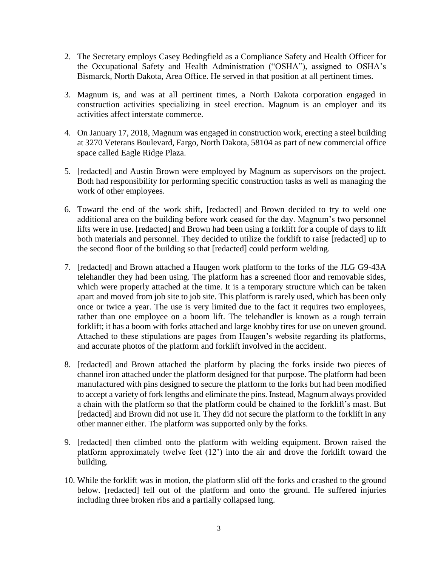- 2. The Secretary employs Casey Bedingfield as a Compliance Safety and Health Officer for the Occupational Safety and Health Administration ("OSHA"), assigned to OSHA's Bismarck, North Dakota, Area Office. He served in that position at all pertinent times.
- 3. Magnum is, and was at all pertinent times, a North Dakota corporation engaged in construction activities specializing in steel erection. Magnum is an employer and its activities affect interstate commerce.
- 4. On January 17, 2018, Magnum was engaged in construction work, erecting a steel building at 3270 Veterans Boulevard, Fargo, North Dakota, 58104 as part of new commercial office space called Eagle Ridge Plaza.
- 5. [redacted] and Austin Brown were employed by Magnum as supervisors on the project. Both had responsibility for performing specific construction tasks as well as managing the work of other employees.
- 6. Toward the end of the work shift, [redacted] and Brown decided to try to weld one additional area on the building before work ceased for the day. Magnum's two personnel lifts were in use. [redacted] and Brown had been using a forklift for a couple of days to lift both materials and personnel. They decided to utilize the forklift to raise [redacted] up to the second floor of the building so that [redacted] could perform welding.
- 7. [redacted] and Brown attached a Haugen work platform to the forks of the JLG G9-43A telehandler they had been using. The platform has a screened floor and removable sides, which were properly attached at the time. It is a temporary structure which can be taken apart and moved from job site to job site. This platform is rarely used, which has been only once or twice a year. The use is very limited due to the fact it requires two employees, rather than one employee on a boom lift. The telehandler is known as a rough terrain forklift; it has a boom with forks attached and large knobby tires for use on uneven ground. Attached to these stipulations are pages from Haugen's website regarding its platforms, and accurate photos of the platform and forklift involved in the accident.
- 8. [redacted] and Brown attached the platform by placing the forks inside two pieces of channel iron attached under the platform designed for that purpose. The platform had been manufactured with pins designed to secure the platform to the forks but had been modified to accept a variety of fork lengths and eliminate the pins. Instead, Magnum always provided a chain with the platform so that the platform could be chained to the forklift's mast. But [redacted] and Brown did not use it. They did not secure the platform to the forklift in any other manner either. The platform was supported only by the forks.
- 9. [redacted] then climbed onto the platform with welding equipment. Brown raised the platform approximately twelve feet (12') into the air and drove the forklift toward the building.
- 10. While the forklift was in motion, the platform slid off the forks and crashed to the ground below. [redacted] fell out of the platform and onto the ground. He suffered injuries including three broken ribs and a partially collapsed lung.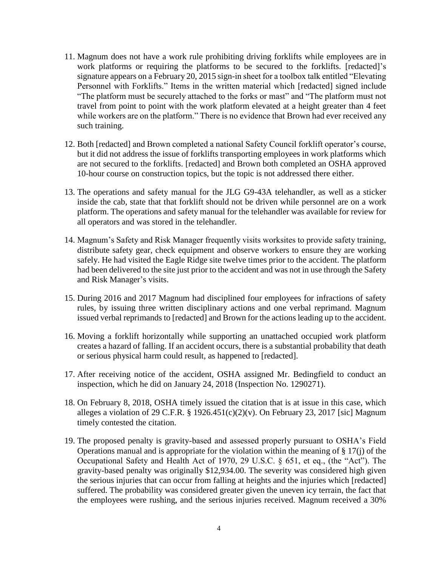- 11. Magnum does not have a work rule prohibiting driving forklifts while employees are in work platforms or requiring the platforms to be secured to the forklifts. [redacted]'s signature appears on a February 20, 2015 sign-in sheet for a toolbox talk entitled "Elevating Personnel with Forklifts." Items in the written material which [redacted] signed include "The platform must be securely attached to the forks or mast" and "The platform must not travel from point to point with the work platform elevated at a height greater than 4 feet while workers are on the platform." There is no evidence that Brown had ever received any such training.
- 12. Both [redacted] and Brown completed a national Safety Council forklift operator's course, but it did not address the issue of forklifts transporting employees in work platforms which are not secured to the forklifts. [redacted] and Brown both completed an OSHA approved 10-hour course on construction topics, but the topic is not addressed there either.
- 13. The operations and safety manual for the JLG G9-43A telehandler, as well as a sticker inside the cab, state that that forklift should not be driven while personnel are on a work platform. The operations and safety manual for the telehandler was available for review for all operators and was stored in the telehandler.
- 14. Magnum's Safety and Risk Manager frequently visits worksites to provide safety training, distribute safety gear, check equipment and observe workers to ensure they are working safely. He had visited the Eagle Ridge site twelve times prior to the accident. The platform had been delivered to the site just prior to the accident and was not in use through the Safety and Risk Manager's visits.
- 15. During 2016 and 2017 Magnum had disciplined four employees for infractions of safety rules, by issuing three written disciplinary actions and one verbal reprimand. Magnum issued verbal reprimands to [redacted] and Brown for the actions leading up to the accident.
- 16. Moving a forklift horizontally while supporting an unattached occupied work platform creates a hazard of falling. If an accident occurs, there is a substantial probability that death or serious physical harm could result, as happened to [redacted].
- 17. After receiving notice of the accident, OSHA assigned Mr. Bedingfield to conduct an inspection, which he did on January 24, 2018 (Inspection No. 1290271).
- 18. On February 8, 2018, OSHA timely issued the citation that is at issue in this case, which alleges a violation of 29 C.F.R. § 1926.451(c)(2)(v). On February 23, 2017 [sic] Magnum timely contested the citation.
- 19. The proposed penalty is gravity-based and assessed properly pursuant to OSHA's Field Operations manual and is appropriate for the violation within the meaning of  $\S 17(i)$  of the Occupational Safety and Health Act of 1970, 29 U.S.C. § 651, et eq., (the "Act"). The gravity-based penalty was originally \$12,934.00. The severity was considered high given the serious injuries that can occur from falling at heights and the injuries which [redacted] suffered. The probability was considered greater given the uneven icy terrain, the fact that the employees were rushing, and the serious injuries received. Magnum received a 30%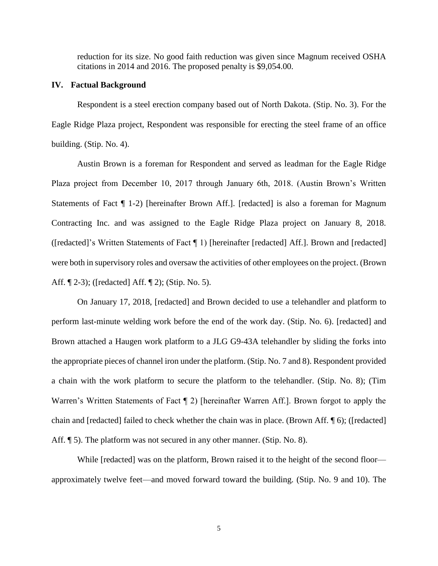reduction for its size. No good faith reduction was given since Magnum received OSHA citations in 2014 and 2016. The proposed penalty is \$9,054.00.

#### **IV. Factual Background**

Respondent is a steel erection company based out of North Dakota. (Stip. No. 3). For the Eagle Ridge Plaza project, Respondent was responsible for erecting the steel frame of an office building. (Stip. No. 4).

Austin Brown is a foreman for Respondent and served as leadman for the Eagle Ridge Plaza project from December 10, 2017 through January 6th, 2018. (Austin Brown's Written Statements of Fact  $\P$  1-2) [hereinafter Brown Aff.]. [redacted] is also a foreman for Magnum Contracting Inc. and was assigned to the Eagle Ridge Plaza project on January 8, 2018. ([redacted]'s Written Statements of Fact ¶ 1) [hereinafter [redacted] Aff.]. Brown and [redacted] were both in supervisory roles and oversaw the activities of other employees on the project. (Brown Aff. ¶ 2-3); ([redacted] Aff. ¶ 2); (Stip. No. 5).

On January 17, 2018, [redacted] and Brown decided to use a telehandler and platform to perform last-minute welding work before the end of the work day. (Stip. No. 6). [redacted] and Brown attached a Haugen work platform to a JLG G9-43A telehandler by sliding the forks into the appropriate pieces of channel iron under the platform. (Stip. No. 7 and 8). Respondent provided a chain with the work platform to secure the platform to the telehandler. (Stip. No. 8); (Tim Warren's Written Statements of Fact  $\P$  2) [hereinafter Warren Aff.]. Brown forgot to apply the chain and [redacted] failed to check whether the chain was in place. (Brown Aff. ¶ 6); ([redacted] Aff.  $\llbracket 5$ ). The platform was not secured in any other manner. (Stip. No. 8).

While [redacted] was on the platform, Brown raised it to the height of the second floor approximately twelve feet—and moved forward toward the building. (Stip. No. 9 and 10). The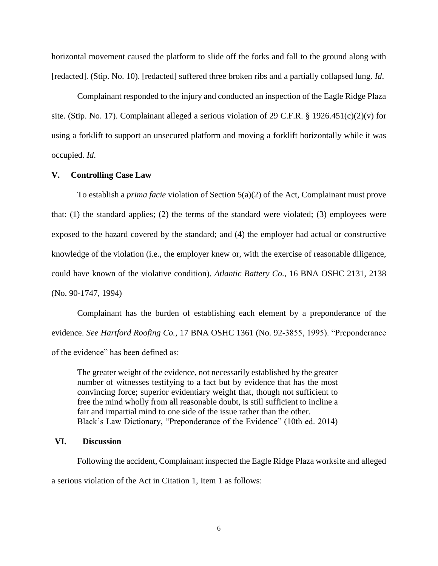horizontal movement caused the platform to slide off the forks and fall to the ground along with [redacted]. (Stip. No. 10). [redacted] suffered three broken ribs and a partially collapsed lung. *Id*.

Complainant responded to the injury and conducted an inspection of the Eagle Ridge Plaza site. (Stip. No. 17). Complainant alleged a serious violation of 29 C.F.R. § 1926.451(c)(2)(v) for using a forklift to support an unsecured platform and moving a forklift horizontally while it was occupied. *Id*.

## **V. Controlling Case Law**

To establish a *prima facie* violation of Section 5(a)(2) of the Act, Complainant must prove that: (1) the standard applies; (2) the terms of the standard were violated; (3) employees were exposed to the hazard covered by the standard; and (4) the employer had actual or constructive knowledge of the violation (i.e., the employer knew or, with the exercise of reasonable diligence, could have known of the violative condition). *Atlantic Battery Co.*, 16 BNA OSHC 2131, 2138 (No. 90-1747, 1994)

Complainant has the burden of establishing each element by a preponderance of the evidence. *See Hartford Roofing Co.*, 17 BNA OSHC 1361 (No. 92-3855, 1995). "Preponderance of the evidence" has been defined as:

The greater weight of the evidence, not necessarily established by the greater number of witnesses testifying to a fact but by evidence that has the most convincing force; superior evidentiary weight that, though not sufficient to free the mind wholly from all reasonable doubt, is still sufficient to incline a fair and impartial mind to one side of the issue rather than the other. Black's Law Dictionary, "Preponderance of the Evidence" (10th ed. 2014)

## **VI. Discussion**

Following the accident, Complainant inspected the Eagle Ridge Plaza worksite and alleged a serious violation of the Act in Citation 1, Item 1 as follows: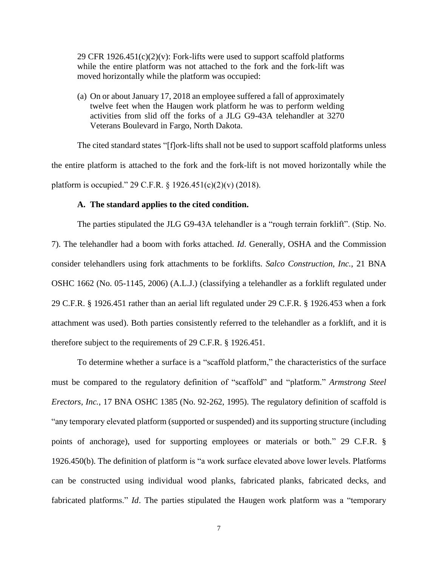29 CFR  $1926.451(c)(2)(v)$ : Fork-lifts were used to support scaffold platforms while the entire platform was not attached to the fork and the fork-lift was moved horizontally while the platform was occupied:

(a) On or about January 17, 2018 an employee suffered a fall of approximately twelve feet when the Haugen work platform he was to perform welding activities from slid off the forks of a JLG G9-43A telehandler at 3270 Veterans Boulevard in Fargo, North Dakota.

The cited standard states "[f]ork-lifts shall not be used to support scaffold platforms unless the entire platform is attached to the fork and the fork-lift is not moved horizontally while the platform is occupied." 29 C.F.R. § 1926.451(c)(2)(v) (2018).

## **A. The standard applies to the cited condition.**

The parties stipulated the JLG G9-43A telehandler is a "rough terrain forklift". (Stip. No. 7). The telehandler had a boom with forks attached. *Id*. Generally, OSHA and the Commission consider telehandlers using fork attachments to be forklifts. *Salco Construction, Inc.*, 21 BNA OSHC 1662 (No. 05-1145, 2006) (A.L.J.) (classifying a telehandler as a forklift regulated under 29 C.F.R. § 1926.451 rather than an aerial lift regulated under 29 C.F.R. § 1926.453 when a fork attachment was used). Both parties consistently referred to the telehandler as a forklift, and it is therefore subject to the requirements of 29 C.F.R. § 1926.451.

To determine whether a surface is a "scaffold platform," the characteristics of the surface must be compared to the regulatory definition of "scaffold" and "platform." *Armstrong Steel Erectors, Inc.*, 17 BNA OSHC 1385 (No. 92-262, 1995). The regulatory definition of scaffold is "any temporary elevated platform (supported or suspended) and its supporting structure (including points of anchorage), used for supporting employees or materials or both." 29 C.F.R. § 1926.450(b). The definition of platform is "a work surface elevated above lower levels. Platforms can be constructed using individual wood planks, fabricated planks, fabricated decks, and fabricated platforms." *Id*. The parties stipulated the Haugen work platform was a "temporary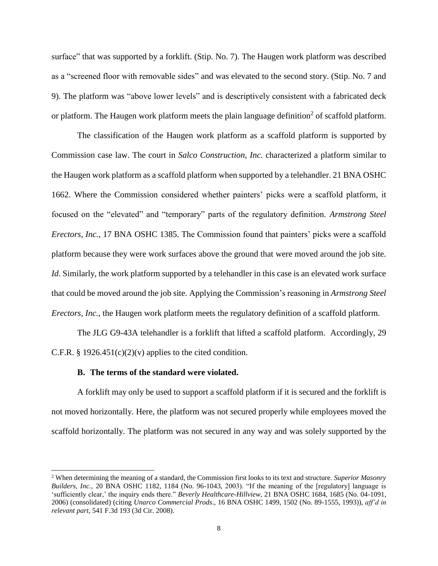surface" that was supported by a forklift. (Stip. No. 7). The Haugen work platform was described as a "screened floor with removable sides" and was elevated to the second story. (Stip. No. 7 and 9). The platform was "above lower levels" and is descriptively consistent with a fabricated deck or platform. The Haugen work platform meets the plain language definition<sup>2</sup> of scaffold platform.

The classification of the Haugen work platform as a scaffold platform is supported by Commission case law. The court in *Salco Construction, Inc.* characterized a platform similar to the Haugen work platform as a scaffold platform when supported by a telehandler. 21 BNA OSHC 1662. Where the Commission considered whether painters' picks were a scaffold platform, it focused on the "elevated" and "temporary" parts of the regulatory definition. *Armstrong Steel Erectors, Inc.*, 17 BNA OSHC 1385. The Commission found that painters' picks were a scaffold platform because they were work surfaces above the ground that were moved around the job site. *Id*. Similarly, the work platform supported by a telehandler in this case is an elevated work surface that could be moved around the job site. Applying the Commission's reasoning in *Armstrong Steel Erectors, Inc.*, the Haugen work platform meets the regulatory definition of a scaffold platform.

The JLG G9-43A telehandler is a forklift that lifted a scaffold platform. Accordingly, 29 C.F.R. § 1926.451(c)(2)(v) applies to the cited condition.

## **B. The terms of the standard were violated.**

 $\overline{\phantom{a}}$ 

A forklift may only be used to support a scaffold platform if it is secured and the forklift is not moved horizontally. Here, the platform was not secured properly while employees moved the scaffold horizontally. The platform was not secured in any way and was solely supported by the

<sup>2</sup> When determining the meaning of a standard, the Commission first looks to its text and structure. *Superior Masonry Builders, Inc.,* 20 BNA OSHC 1182, 1184 (No. 96-1043, 2003). "If the meaning of the [regulatory] language is 'sufficiently clear,' the inquiry ends there." *Beverly Healthcare-Hillview,* 21 BNA OSHC 1684, 1685 (No. 04-1091, 2006) (consolidated) (citing *Unarco Commercial Prods*., 16 BNA OSHC 1499, 1502 (No. 89-1555, 1993)), *aff'd in relevant part*, 541 F.3d 193 (3d Cir. 2008).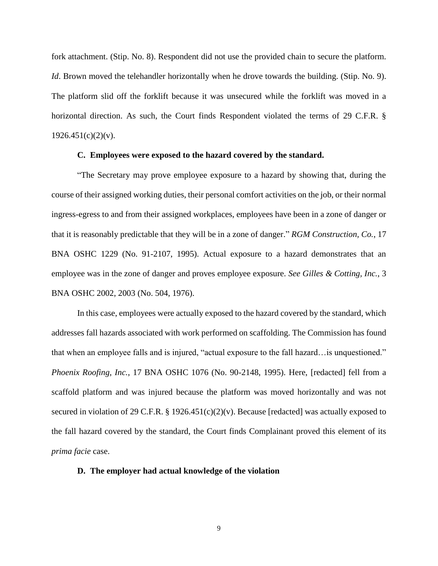fork attachment. (Stip. No. 8). Respondent did not use the provided chain to secure the platform. *Id*. Brown moved the telehandler horizontally when he drove towards the building. (Stip. No. 9). The platform slid off the forklift because it was unsecured while the forklift was moved in a horizontal direction. As such, the Court finds Respondent violated the terms of 29 C.F.R. §  $1926.451(c)(2)(v)$ .

## **C. Employees were exposed to the hazard covered by the standard.**

"The Secretary may prove employee exposure to a hazard by showing that, during the course of their assigned working duties, their personal comfort activities on the job, or their normal ingress-egress to and from their assigned workplaces, employees have been in a zone of danger or that it is reasonably predictable that they will be in a zone of danger." *RGM Construction, Co.*, 17 BNA OSHC 1229 (No. 91-2107, 1995). Actual exposure to a hazard demonstrates that an employee was in the zone of danger and proves employee exposure. *See Gilles & Cotting, Inc.*, 3 BNA OSHC 2002, 2003 (No. 504, 1976).

In this case, employees were actually exposed to the hazard covered by the standard, which addresses fall hazards associated with work performed on scaffolding. The Commission has found that when an employee falls and is injured, "actual exposure to the fall hazard…is unquestioned." *Phoenix Roofing, Inc.*, 17 BNA OSHC 1076 (No. 90-2148, 1995). Here, [redacted] fell from a scaffold platform and was injured because the platform was moved horizontally and was not secured in violation of 29 C.F.R. § 1926.451(c)(2)(v). Because [redacted] was actually exposed to the fall hazard covered by the standard, the Court finds Complainant proved this element of its *prima facie* case.

## **D. The employer had actual knowledge of the violation**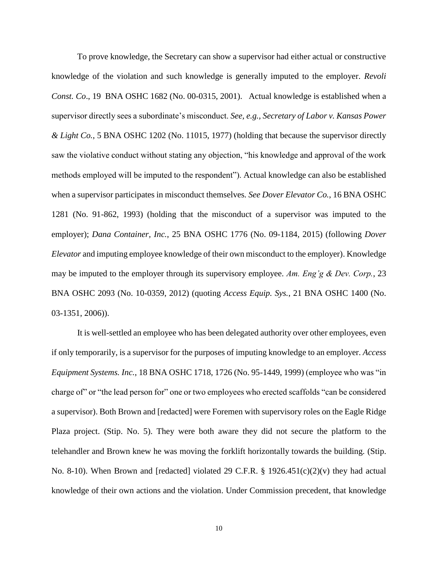To prove knowledge, the Secretary can show a supervisor had either actual or constructive knowledge of the violation and such knowledge is generally imputed to the employer. *Revoli Const. Co*., 19 BNA OSHC 1682 (No. 00-0315, 2001). Actual knowledge is established when a supervisor directly sees a subordinate's misconduct. *See, e.g., Secretary of Labor v. Kansas Power & Light Co.*, 5 BNA OSHC 1202 (No. 11015, 1977) (holding that because the supervisor directly saw the violative conduct without stating any objection, "his knowledge and approval of the work methods employed will be imputed to the respondent"). Actual knowledge can also be established when a supervisor participates in misconduct themselves*. See Dover Elevator Co.*, 16 BNA OSHC 1281 (No. 91-862, 1993) (holding that the misconduct of a supervisor was imputed to the employer); *Dana Container, Inc.*, 25 BNA OSHC 1776 (No. 09-1184, 2015) (following *Dover Elevator* and imputing employee knowledge of their own misconduct to the employer). Knowledge may be imputed to the employer through its supervisory employee. *Am. Eng'g & Dev. Corp.*, 23 BNA OSHC 2093 (No. 10-0359, 2012) (quoting *Access Equip. Sys.*, 21 BNA OSHC 1400 (No. 03-1351, 2006)).

It is well-settled an employee who has been delegated authority over other employees, even if only temporarily, is a supervisor for the purposes of imputing knowledge to an employer. *Access Equipment Systems. Inc.*, 18 BNA OSHC 1718, 1726 (No. 95-1449, 1999) (employee who was "in charge of" or "the lead person for" one or two employees who erected scaffolds "can be considered a supervisor). Both Brown and [redacted] were Foremen with supervisory roles on the Eagle Ridge Plaza project. (Stip. No. 5). They were both aware they did not secure the platform to the telehandler and Brown knew he was moving the forklift horizontally towards the building. (Stip. No. 8-10). When Brown and [redacted] violated 29 C.F.R. § 1926.451(c)(2)(v) they had actual knowledge of their own actions and the violation. Under Commission precedent, that knowledge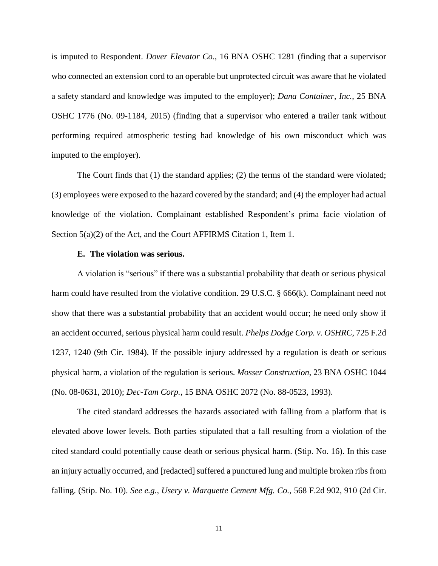is imputed to Respondent. *Dover Elevator Co.*, 16 BNA OSHC 1281 (finding that a supervisor who connected an extension cord to an operable but unprotected circuit was aware that he violated a safety standard and knowledge was imputed to the employer); *Dana Container, Inc.*, 25 BNA OSHC 1776 (No. 09-1184, 2015) (finding that a supervisor who entered a trailer tank without performing required atmospheric testing had knowledge of his own misconduct which was imputed to the employer).

The Court finds that (1) the standard applies; (2) the terms of the standard were violated; (3) employees were exposed to the hazard covered by the standard; and (4) the employer had actual knowledge of the violation. Complainant established Respondent's prima facie violation of Section 5(a)(2) of the Act, and the Court AFFIRMS Citation 1, Item 1.

#### **E. The violation was serious.**

A violation is "serious" if there was a substantial probability that death or serious physical harm could have resulted from the violative condition. 29 U.S.C. § 666(k). Complainant need not show that there was a substantial probability that an accident would occur; he need only show if an accident occurred, serious physical harm could result. *Phelps Dodge Corp. v. OSHRC*, 725 F.2d 1237, 1240 (9th Cir. 1984). If the possible injury addressed by a regulation is death or serious physical harm, a violation of the regulation is serious. *Mosser Construction*, 23 BNA OSHC 1044 (No. 08-0631, 2010); *Dec-Tam Corp.*, 15 BNA OSHC 2072 (No. 88-0523, 1993).

The cited standard addresses the hazards associated with falling from a platform that is elevated above lower levels. Both parties stipulated that a fall resulting from a violation of the cited standard could potentially cause death or serious physical harm. (Stip. No. 16). In this case an injury actually occurred, and [redacted] suffered a punctured lung and multiple broken ribs from falling. (Stip. No. 10). *See e.g.*, *Usery v. Marquette Cement Mfg. Co.*, 568 F.2d 902, 910 (2d Cir.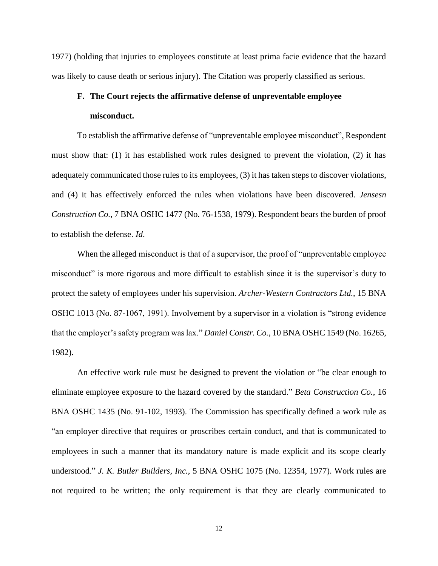1977) (holding that injuries to employees constitute at least prima facie evidence that the hazard was likely to cause death or serious injury). The Citation was properly classified as serious.

# **F. The Court rejects the affirmative defense of unpreventable employee misconduct.**

To establish the affirmative defense of "unpreventable employee misconduct", Respondent must show that: (1) it has established work rules designed to prevent the violation, (2) it has adequately communicated those rules to its employees, (3) it has taken steps to discover violations, and (4) it has effectively enforced the rules when violations have been discovered. *Jensesn Construction Co.*, 7 BNA OSHC 1477 (No. 76-1538, 1979). Respondent bears the burden of proof to establish the defense. *Id*.

When the alleged misconduct is that of a supervisor, the proof of "unpreventable employee" misconduct" is more rigorous and more difficult to establish since it is the supervisor's duty to protect the safety of employees under his supervision. *Archer-Western Contractors Ltd.*, 15 BNA OSHC 1013 (No. 87-1067, 1991). Involvement by a supervisor in a violation is "strong evidence that the employer's safety program was lax." *Daniel Constr. Co.*, 10 BNA OSHC 1549 (No. 16265, 1982).

An effective work rule must be designed to prevent the violation or "be clear enough to eliminate employee exposure to the hazard covered by the standard." *Beta Construction Co.*, 16 BNA OSHC 1435 (No. 91-102, 1993). The Commission has specifically defined a work rule as "an employer directive that requires or proscribes certain conduct, and that is communicated to employees in such a manner that its mandatory nature is made explicit and its scope clearly understood." *J. K. Butler Builders, Inc.*, 5 BNA OSHC 1075 (No. 12354, 1977). Work rules are not required to be written; the only requirement is that they are clearly communicated to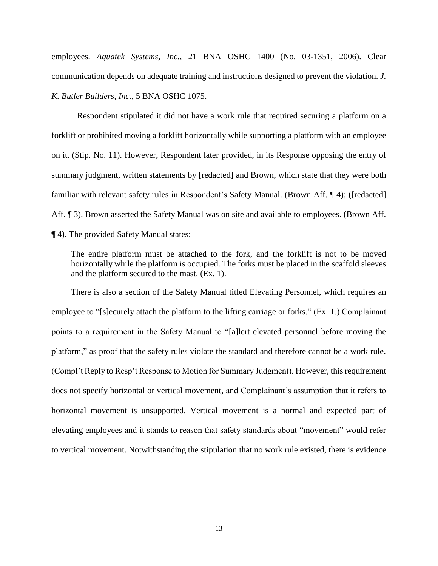employees. *Aquatek Systems, Inc.*, 21 BNA OSHC 1400 (No. 03-1351, 2006). Clear communication depends on adequate training and instructions designed to prevent the violation. *J. K. Butler Builders, Inc.*, 5 BNA OSHC 1075.

Respondent stipulated it did not have a work rule that required securing a platform on a forklift or prohibited moving a forklift horizontally while supporting a platform with an employee on it. (Stip. No. 11). However, Respondent later provided, in its Response opposing the entry of summary judgment, written statements by [redacted] and Brown, which state that they were both familiar with relevant safety rules in Respondent's Safety Manual. (Brown Aff. ¶ 4); ([redacted] Aff. <sup>¶</sup> 3). Brown asserted the Safety Manual was on site and available to employees. (Brown Aff. ¶ 4). The provided Safety Manual states:

The entire platform must be attached to the fork, and the forklift is not to be moved horizontally while the platform is occupied. The forks must be placed in the scaffold sleeves and the platform secured to the mast. (Ex. 1).

There is also a section of the Safety Manual titled Elevating Personnel, which requires an employee to "[s]ecurely attach the platform to the lifting carriage or forks." (Ex. 1.) Complainant points to a requirement in the Safety Manual to "[a]lert elevated personnel before moving the platform," as proof that the safety rules violate the standard and therefore cannot be a work rule. (Compl't Reply to Resp't Response to Motion for Summary Judgment). However, this requirement does not specify horizontal or vertical movement, and Complainant's assumption that it refers to horizontal movement is unsupported. Vertical movement is a normal and expected part of elevating employees and it stands to reason that safety standards about "movement" would refer to vertical movement. Notwithstanding the stipulation that no work rule existed, there is evidence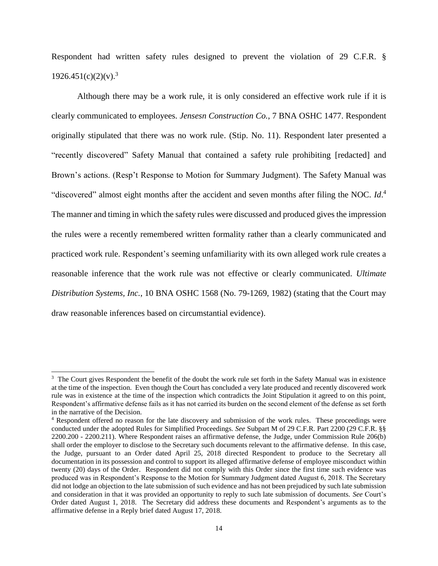Respondent had written safety rules designed to prevent the violation of 29 C.F.R. §  $1926.451(c)(2)(v).<sup>3</sup>$ 

Although there may be a work rule, it is only considered an effective work rule if it is clearly communicated to employees. *Jensesn Construction Co.*, 7 BNA OSHC 1477. Respondent originally stipulated that there was no work rule. (Stip. No. 11). Respondent later presented a "recently discovered" Safety Manual that contained a safety rule prohibiting [redacted] and Brown's actions. (Resp't Response to Motion for Summary Judgment). The Safety Manual was "discovered" almost eight months after the accident and seven months after filing the NOC. *Id*.<sup>4</sup> The manner and timing in which the safety rules were discussed and produced gives the impression the rules were a recently remembered written formality rather than a clearly communicated and practiced work rule. Respondent's seeming unfamiliarity with its own alleged work rule creates a reasonable inference that the work rule was not effective or clearly communicated. *Ultimate Distribution Systems, Inc.*, 10 BNA OSHC 1568 (No. 79-1269, 1982) (stating that the Court may draw reasonable inferences based on circumstantial evidence).

 $\overline{\phantom{a}}$ 

<sup>&</sup>lt;sup>3</sup> The Court gives Respondent the benefit of the doubt the work rule set forth in the Safety Manual was in existence at the time of the inspection. Even though the Court has concluded a very late produced and recently discovered work rule was in existence at the time of the inspection which contradicts the Joint Stipulation it agreed to on this point, Respondent's affirmative defense fails as it has not carried its burden on the second element of the defense as set forth in the narrative of the Decision.

<sup>4</sup> Respondent offered no reason for the late discovery and submission of the work rules. These proceedings were conducted under the adopted Rules for Simplified Proceedings*. See* Subpart M of 29 C.F.R. Part 2200 (29 C.F.R. §§ 2200.200 - 2200.211). Where Respondent raises an affirmative defense, the Judge, under Commission Rule 206(b) shall order the employer to disclose to the Secretary such documents relevant to the affirmative defense. In this case, the Judge, pursuant to an Order dated April 25, 2018 directed Respondent to produce to the Secretary all documentation in its possession and control to support its alleged affirmative defense of employee misconduct within twenty (20) days of the Order. Respondent did not comply with this Order since the first time such evidence was produced was in Respondent's Response to the Motion for Summary Judgment dated August 6, 2018. The Secretary did not lodge an objection to the late submission of such evidence and has not been prejudiced by such late submission and consideration in that it was provided an opportunity to reply to such late submission of documents. *See* Court's Order dated August 1, 2018. The Secretary did address these documents and Respondent's arguments as to the affirmative defense in a Reply brief dated August 17, 2018.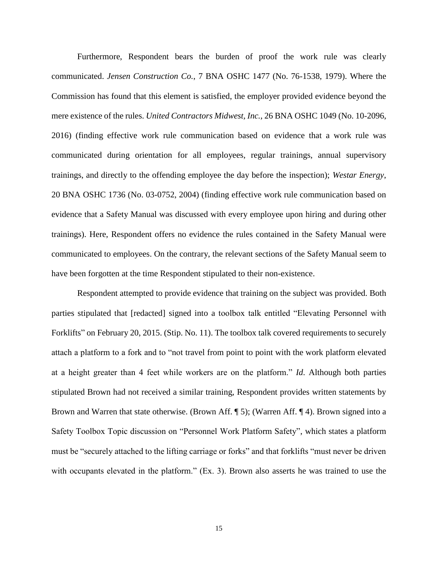Furthermore, Respondent bears the burden of proof the work rule was clearly communicated. *Jensen Construction Co.*, 7 BNA OSHC 1477 (No. 76-1538, 1979). Where the Commission has found that this element is satisfied, the employer provided evidence beyond the mere existence of the rules. *United Contractors Midwest, Inc.*, 26 BNA OSHC 1049 (No. 10-2096, 2016) (finding effective work rule communication based on evidence that a work rule was communicated during orientation for all employees, regular trainings, annual supervisory trainings, and directly to the offending employee the day before the inspection); *Westar Energy*, 20 BNA OSHC 1736 (No. 03-0752, 2004) (finding effective work rule communication based on evidence that a Safety Manual was discussed with every employee upon hiring and during other trainings). Here, Respondent offers no evidence the rules contained in the Safety Manual were communicated to employees. On the contrary, the relevant sections of the Safety Manual seem to have been forgotten at the time Respondent stipulated to their non-existence.

Respondent attempted to provide evidence that training on the subject was provided. Both parties stipulated that [redacted] signed into a toolbox talk entitled "Elevating Personnel with Forklifts" on February 20, 2015. (Stip. No. 11). The toolbox talk covered requirements to securely attach a platform to a fork and to "not travel from point to point with the work platform elevated at a height greater than 4 feet while workers are on the platform." *Id*. Although both parties stipulated Brown had not received a similar training, Respondent provides written statements by Brown and Warren that state otherwise. (Brown Aff. ¶ 5); (Warren Aff. ¶ 4). Brown signed into a Safety Toolbox Topic discussion on "Personnel Work Platform Safety", which states a platform must be "securely attached to the lifting carriage or forks" and that forklifts "must never be driven with occupants elevated in the platform." (Ex. 3). Brown also asserts he was trained to use the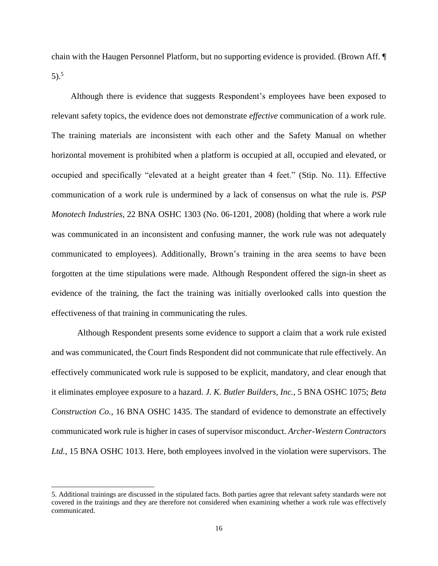chain with the Haugen Personnel Platform, but no supporting evidence is provided. (Brown Aff. ¶ 5). 5

Although there is evidence that suggests Respondent's employees have been exposed to relevant safety topics, the evidence does not demonstrate *effective* communication of a work rule. The training materials are inconsistent with each other and the Safety Manual on whether horizontal movement is prohibited when a platform is occupied at all, occupied and elevated, or occupied and specifically "elevated at a height greater than 4 feet." (Stip. No. 11). Effective communication of a work rule is undermined by a lack of consensus on what the rule is. *PSP Monotech Industries*, 22 BNA OSHC 1303 (No. 06-1201, 2008) (holding that where a work rule was communicated in an inconsistent and confusing manner, the work rule was not adequately communicated to employees). Additionally, Brown's training in the area seems to have been forgotten at the time stipulations were made. Although Respondent offered the sign-in sheet as evidence of the training, the fact the training was initially overlooked calls into question the effectiveness of that training in communicating the rules.

Although Respondent presents some evidence to support a claim that a work rule existed and was communicated, the Court finds Respondent did not communicate that rule effectively. An effectively communicated work rule is supposed to be explicit, mandatory, and clear enough that it eliminates employee exposure to a hazard. *J. K. Butler Builders, Inc.*, 5 BNA OSHC 1075; *Beta Construction Co.*, 16 BNA OSHC 1435. The standard of evidence to demonstrate an effectively communicated work rule is higher in cases of supervisor misconduct. *Archer-Western Contractors Ltd.*, 15 BNA OSHC 1013. Here, both employees involved in the violation were supervisors. The

l

<sup>5.</sup> Additional trainings are discussed in the stipulated facts. Both parties agree that relevant safety standards were not covered in the trainings and they are therefore not considered when examining whether a work rule was effectively communicated.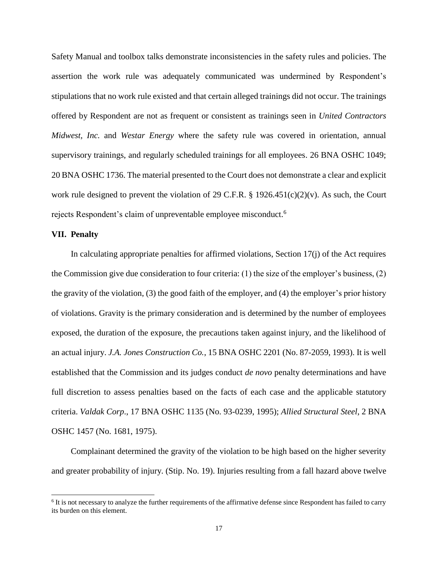Safety Manual and toolbox talks demonstrate inconsistencies in the safety rules and policies. The assertion the work rule was adequately communicated was undermined by Respondent's stipulations that no work rule existed and that certain alleged trainings did not occur. The trainings offered by Respondent are not as frequent or consistent as trainings seen in *United Contractors Midwest, Inc.* and *Westar Energy* where the safety rule was covered in orientation, annual supervisory trainings, and regularly scheduled trainings for all employees. 26 BNA OSHC 1049; 20 BNA OSHC 1736. The material presented to the Court does not demonstrate a clear and explicit work rule designed to prevent the violation of 29 C.F.R. § 1926.451(c)(2)(v). As such, the Court rejects Respondent's claim of unpreventable employee misconduct. 6

## **VII. Penalty**

 $\overline{\phantom{a}}$ 

In calculating appropriate penalties for affirmed violations, Section 17(j) of the Act requires the Commission give due consideration to four criteria: (1) the size of the employer's business, (2) the gravity of the violation, (3) the good faith of the employer, and (4) the employer's prior history of violations. Gravity is the primary consideration and is determined by the number of employees exposed, the duration of the exposure, the precautions taken against injury, and the likelihood of an actual injury. *J.A. Jones Construction Co.*, 15 BNA OSHC 2201 (No. 87-2059, 1993). It is well established that the Commission and its judges conduct *de novo* penalty determinations and have full discretion to assess penalties based on the facts of each case and the applicable statutory criteria. *Valdak Corp*., 17 BNA OSHC 1135 (No. 93-0239, 1995); *Allied Structural Steel*, 2 BNA OSHC 1457 (No. 1681, 1975).

Complainant determined the gravity of the violation to be high based on the higher severity and greater probability of injury. (Stip. No. 19). Injuries resulting from a fall hazard above twelve

<sup>&</sup>lt;sup>6</sup> It is not necessary to analyze the further requirements of the affirmative defense since Respondent has failed to carry its burden on this element.